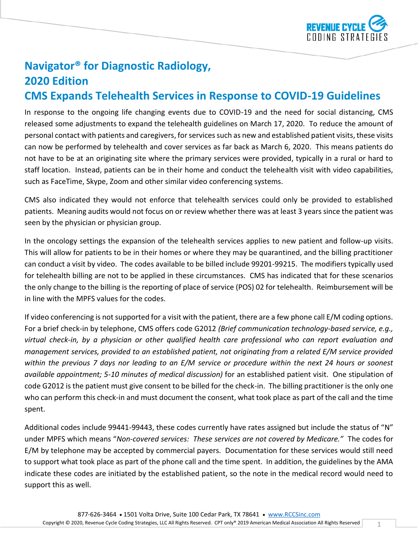

## **Navigator® for Diagnostic Radiology, 2020 Edition**

## **CMS Expands Telehealth Services in Response to COVID-19 Guidelines**

In response to the ongoing life changing events due to COVID-19 and the need for social distancing, CMS released some adjustments to expand the telehealth guidelines on March 17, 2020. To reduce the amount of personal contact with patients and caregivers, for services such as new and established patient visits, these visits can now be performed by telehealth and cover services as far back as March 6, 2020. This means patients do not have to be at an originating site where the primary services were provided, typically in a rural or hard to staff location. Instead, patients can be in their home and conduct the telehealth visit with video capabilities, such as FaceTime, Skype, Zoom and other similar video conferencing systems.

CMS also indicated they would not enforce that telehealth services could only be provided to established patients. Meaning audits would not focus on or review whether there was at least 3 years since the patient was seen by the physician or physician group.

In the oncology settings the expansion of the telehealth services applies to new patient and follow-up visits. This will allow for patients to be in their homes or where they may be quarantined, and the billing practitioner can conduct a visit by video. The codes available to be billed include 99201-99215. The modifiers typically used for telehealth billing are not to be applied in these circumstances. CMS has indicated that for these scenarios the only change to the billing is the reporting of place of service (POS) 02 for telehealth. Reimbursement will be in line with the MPFS values for the codes.

If video conferencing is not supported for a visit with the patient, there are a few phone call E/M coding options. For a brief check-in by telephone, CMS offers code G2012 *(Brief communication technology-based service, e.g., virtual check-in, by a physician or other qualified health care professional who can report evaluation and management services, provided to an established patient, not originating from a related E/M service provided within the previous 7 days nor leading to an E/M service or procedure within the next 24 hours or soonest available appointment; 5-10 minutes of medical discussion)* for an established patient visit. One stipulation of code G2012 is the patient must give consent to be billed for the check-in. The billing practitioner is the only one who can perform this check-in and must document the consent, what took place as part of the call and the time spent.

Additional codes include 99441-99443, these codes currently have rates assigned but include the status of "N" under MPFS which means "*Non-covered services: These services are not covered by Medicare."* The codes for E/M by telephone may be accepted by commercial payers. Documentation for these services would still need to support what took place as part of the phone call and the time spent. In addition, the guidelines by the AMA indicate these codes are initiated by the established patient, so the note in the medical record would need to support this as well.